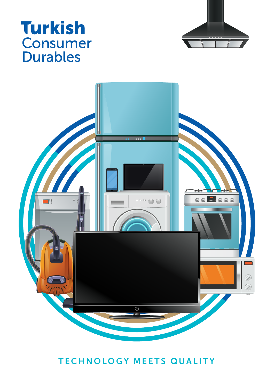## **Turkish Consumer Durables**





#### TECHNOLOGY MEETS QUALITY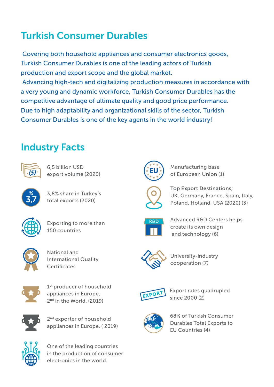### Turkish Consumer Durables

 Covering both household appliances and consumer electronics goods, Turkish Consumer Durables is one of the leading actors of Turkish production and export scope and the global market. Advancing high-tech and digitalizing production measures in accordance with a very young and dynamic workforce, Turkish Consumer Durables has the competitive advantage of ultimate quality and good price performance. Due to high adaptability and organizational skills of the sector, Turkish Consumer Durables is one of the key agents in the world industry!

#### Industry Facts



6,5 billion USD export volume (2020)



3,8% share in Turkey's total exports (2020)



Exporting to more than 150 countries



National and International Quality **Certificates** 



1<sup>st</sup> producer of household appliances in Europe, 2<sup>nd</sup> in the World. (2019).



2<sup>nd</sup> exporter of household appliances in Europe. ( 2019)



One of the leading countries in the production of consumer electronics in the world.



Manufacturing base of European Union (1)



Top Export Destinations; UK, Germany, France, Spain, Italy, Poland, Holland, USA (2020) (3)



Advanced R&D Centers helps create its own design and technology (6)



University-industry cooperation (7)



Export rates quadrupled EXPORT Since 2000 (2)



68% of Turkish Consumer Durables Total Exports to EU Countries (4)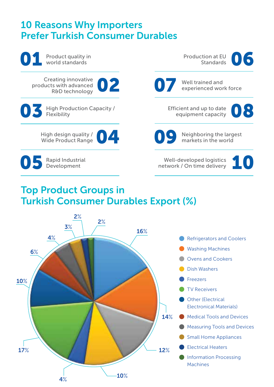#### 10 Reasons Why Importers Prefer Turkish Consumer Durables

 $4\%$  10%

17%



- TV Receivers
- **Other (Electrical** Electronical Materials)
- Medical Tools and Devices
	- Measuring Tools and Devices
- Small Home Appliances
- Electrical Heaters

12%

14%

Information Processing Machines